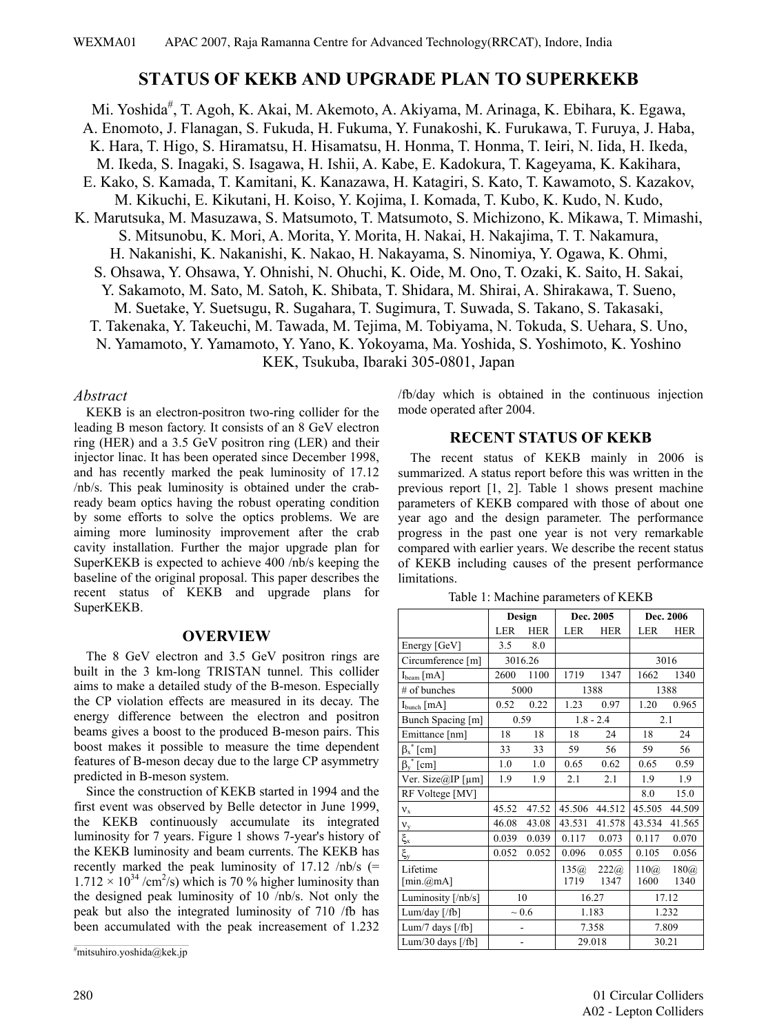# **STATUS OF KEKB AND UPGRADE PLAN TO SUPERKEKB**

Mi. Yoshida<sup>#</sup>, T. Agoh, K. Akai, M. Akemoto, A. Akiyama, M. Arinaga, K. Ebihara, K. Egawa, A. Enomoto, J. Flanagan, S. Fukuda, H. Fukuma, Y. Funakoshi, K. Furukawa, T. Furuya, J. Haba, K. Hara, T. Higo, S. Hiramatsu, H. Hisamatsu, H. Honma, T. Honma, T. Ieiri, N. Iida, H. Ikeda, M. Ikeda, S. Inagaki, S. Isagawa, H. Ishii, A. Kabe, E. Kadokura, T. Kageyama, K. Kakihara, E. Kako, S. Kamada, T. Kamitani, K. Kanazawa, H. Katagiri, S. Kato, T. Kawamoto, S. Kazakov, M. Kikuchi, E. Kikutani, H. Koiso, Y. Kojima, I. Komada, T. Kubo, K. Kudo, N. Kudo, K. Marutsuka, M. Masuzawa, S. Matsumoto, T. Matsumoto, S. Michizono, K. Mikawa, T. Mimashi, S. Mitsunobu, K. Mori, A. Morita, Y. Morita, H. Nakai, H. Nakajima, T. T. Nakamura, H. Nakanishi, K. Nakanishi, K. Nakao, H. Nakayama, S. Ninomiya, Y. Ogawa, K. Ohmi, S. Ohsawa, Y. Ohsawa, Y. Ohnishi, N. Ohuchi, K. Oide, M. Ono, T. Ozaki, K. Saito, H. Sakai, Y. Sakamoto, M. Sato, M. Satoh, K. Shibata, T. Shidara, M. Shirai, A. Shirakawa, T. Sueno, M. Suetake, Y. Suetsugu, R. Sugahara, T. Sugimura, T. Suwada, S. Takano, S. Takasaki, T. Takenaka, Y. Takeuchi, M. Tawada, M. Tejima, M. Tobiyama, N. Tokuda, S. Uehara, S. Uno, N. Yamamoto, Y. Yamamoto, Y. Yano, K. Yokoyama, Ma. Yoshida, S. Yoshimoto, K. Yoshino KEK, Tsukuba, Ibaraki 305-0801, Japan

#### *Abstract*

KEKB is an electron-positron two-ring collider for the leading B meson factory. It consists of an 8 GeV electron ring (HER) and a 3.5 GeV positron ring (LER) and their injector linac. It has been operated since December 1998, and has recently marked the peak luminosity of 17.12 /nb/s. This peak luminosity is obtained under the crabready beam optics having the robust operating condition by some efforts to solve the optics problems. We are aiming more luminosity improvement after the crab cavity installation. Further the major upgrade plan for SuperKEKB is expected to achieve 400 /nb/s keeping the baseline of the original proposal. This paper describes the recent status of KEKB and upgrade plans for SuperKEKB.

#### **OVERVIEW**

/fb/day which is obtained in the continuous injection mode operated after 2004.

#### **RECENT STATUS OF KEKB**

The recent status of KEKB mainly in 2006 is summarized. A status report before this was written in the previous report [1, 2]. Table 1 shows present machine parameters of KEKB compared with those of about one year ago and the design parameter. The performance progress in the past one year is not very remarkable compared with earlier years. We describe the recent status of KEKB including causes of the present performance limitations.

Table 1: Machine parameters of KEKB

| SUPTINEND.                                                                       |                         | Design     |                | Dec. 2005   |            | Dec. 2006  |            |  |
|----------------------------------------------------------------------------------|-------------------------|------------|----------------|-------------|------------|------------|------------|--|
| <b>OVERVIEW</b>                                                                  |                         | <b>LER</b> | <b>HER</b>     | <b>LER</b>  | <b>HER</b> | <b>LER</b> | <b>HER</b> |  |
|                                                                                  | Energy [GeV]            | 3.5        | 8.0            |             |            |            |            |  |
| The 8 GeV electron and 3.5 GeV positron rings are                                | Circumference [m]       |            | 3016.26        |             |            |            | 3016       |  |
| built in the 3 km-long TRISTAN tunnel. This collider                             | $I_{\text{beam}}$ [mA]  | 2600       | 1100           | 1719        | 1347       | 1662       | 1340       |  |
| aims to make a detailed study of the B-meson. Especially                         | $\#$ of bunches         |            | 5000           | 1388        |            | 1388       |            |  |
| the CP violation effects are measured in its decay. The                          | $I_{bunch}$ [mA]        | 0.52       | 0.22           | 1.23        | 0.97       | 1.20       | 0.965      |  |
| energy difference between the electron and positron                              | Bunch Spacing [m]       |            | 0.59           | $1.8 - 2.4$ |            | 2.1        |            |  |
| beams gives a boost to the produced B-meson pairs. This                          | Emittance [nm]          | 18         | 18             | 18          | 24         | 18         | 24         |  |
| boost makes it possible to measure the time dependent                            | $\beta_x^*$ [cm]        | 33         | 33             | 59          | 56         | 59         | 56         |  |
| features of B-meson decay due to the large CP asymmetry                          | $\beta_{v}^{*}$ [cm]    | 1.0        | 1.0            | 0.65        | 0.62       | 0.65       | 0.59       |  |
| predicted in B-meson system.                                                     | Ver. Size@IP [ $\mu$ m] | 1.9        | 1.9            | 2.1         | 2.1        | 1.9        | 1.9        |  |
| Since the construction of KEKB started in 1994 and the                           | RF Voltege [MV]         |            |                |             |            | 8.0        | 15.0       |  |
| first event was observed by Belle detector in June 1999,                         | $v_{x}$                 | 45.52      | 47.52          | 45.506      | 44.512     | 45.505     | 44.509     |  |
| the KEKB continuously accumulate its integrated                                  | $\mathbf{v}_{\rm y}$    | 46.08      | 43.08          | 43.531      | 41.578     | 43.534     | 41.565     |  |
| luminosity for 7 years. Figure 1 shows 7-year's history of                       | $\xi_x$                 | 0.039      | 0.039          | 0.117       | 0.073      | 0.117      | 0.070      |  |
| the KEKB luminosity and beam currents. The KEKB has                              | $\xi_{\rm y}$           | 0.052      | 0.052          | 0.096       | 0.055      | 0.105      | 0.056      |  |
| recently marked the peak luminosity of $17.12$ /nb/s (=                          | Lifetime                |            |                | 135(a)      | 222@       | 110(a)     | 180@       |  |
| $1.712 \times 10^{34}$ /cm <sup>2</sup> /s) which is 70 % higher luminosity than | $[\min(\omega mA)]$     |            |                | 1719        | 1347       | 1600       | 1340       |  |
| the designed peak luminosity of 10 /nb/s. Not only the                           | Luminosity [/nb/s]      | 10         |                | 16.27       |            | 17.12      |            |  |
| peak but also the integrated luminosity of 710 /fb has                           | Lum/day $[/fb]$         |            | $\sim 0.6$     |             | 1.183      |            | 1.232      |  |
| been accumulated with the peak increasement of 1.232                             | Lum/7 days $[/fb]$      |            | $\blacksquare$ |             | 7.358      |            | 7.809      |  |
|                                                                                  | Lum/30 days $[/fb]$     |            | $\blacksquare$ |             | 29.018     | 30.21      |            |  |
| "mitsuhiro.yoshida@kek.jp                                                        |                         |            |                |             |            |            |            |  |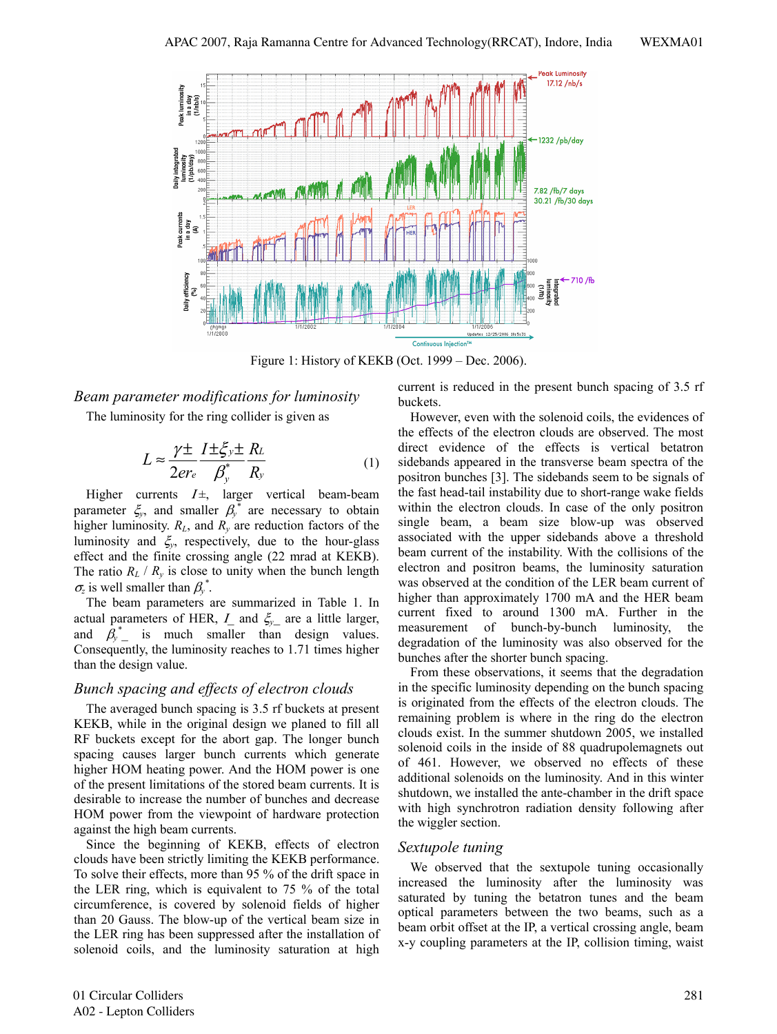

Figure 1: History of KEKB (Oct. 1999 – Dec. 2006).

## *Beam parameter modifications for luminosity*

The luminosity for the ring collider is given as

$$
L \approx \frac{\gamma \pm}{2er_e} \frac{I \pm \xi_y \pm R_L}{\beta_y^* R_y}
$$
 (1)

Higher currents  $I \pm$ , larger vertical beam-beam parameter  $\zeta_y$ , and smaller  $\beta_y^*$  are necessary to obtain higher luminosity.  $R_L$ , and  $R_v$  are reduction factors of the luminosity and ξ*y*, respectively, due to the hour-glass effect and the finite crossing angle (22 mrad at KEKB). The ratio  $R_L$  /  $R_v$  is close to unity when the bunch length  $\sigma_z$  is well smaller than  $\beta_y^*$ .

The beam parameters are summarized in Table 1. In actual parameters of HER, Ι\_ and ξ*y*\_ are a little larger, and  $\beta_{y}^{*}$  is much smaller than design values. Consequently, the luminosity reaches to 1.71 times higher than the design value.

#### *Bunch spacing and effects of electron clouds*

The averaged bunch spacing is 3.5 rf buckets at present KEKB, while in the original design we planed to fill all RF buckets except for the abort gap. The longer bunch spacing causes larger bunch currents which generate higher HOM heating power. And the HOM power is one of the present limitations of the stored beam currents. It is desirable to increase the number of bunches and decrease HOM power from the viewpoint of hardware protection against the high beam currents.

Since the beginning of KEKB, effects of electron clouds have been strictly limiting the KEKB performance. To solve their effects, more than 95 % of the drift space in the LER ring, which is equivalent to 75 % of the total circumference, is covered by solenoid fields of higher than 20 Gauss. The blow-up of the vertical beam size in the LER ring has been suppressed after the installation of solenoid coils, and the luminosity saturation at high current is reduced in the present bunch spacing of 3.5 rf buckets.

However, even with the solenoid coils, the evidences of the effects of the electron clouds are observed. The most direct evidence of the effects is vertical betatron sidebands appeared in the transverse beam spectra of the positron bunches [3]. The sidebands seem to be signals of the fast head-tail instability due to short-range wake fields within the electron clouds. In case of the only positron single beam, a beam size blow-up was observed associated with the upper sidebands above a threshold beam current of the instability. With the collisions of the electron and positron beams, the luminosity saturation was observed at the condition of the LER beam current of higher than approximately 1700 mA and the HER beam current fixed to around 1300 mA. Further in the measurement of bunch-by-bunch luminosity, the degradation of the luminosity was also observed for the bunches after the shorter bunch spacing.

From these observations, it seems that the degradation in the specific luminosity depending on the bunch spacing is originated from the effects of the electron clouds. The remaining problem is where in the ring do the electron clouds exist. In the summer shutdown 2005, we installed solenoid coils in the inside of 88 quadrupolemagnets out of 461. However, we observed no effects of these additional solenoids on the luminosity. And in this winter shutdown, we installed the ante-chamber in the drift space with high synchrotron radiation density following after the wiggler section.

#### *Sextupole tuning*

We observed that the sextupole tuning occasionally increased the luminosity after the luminosity was saturated by tuning the betatron tunes and the beam optical parameters between the two beams, such as a beam orbit offset at the IP, a vertical crossing angle, beam x-y coupling parameters at the IP, collision timing, waist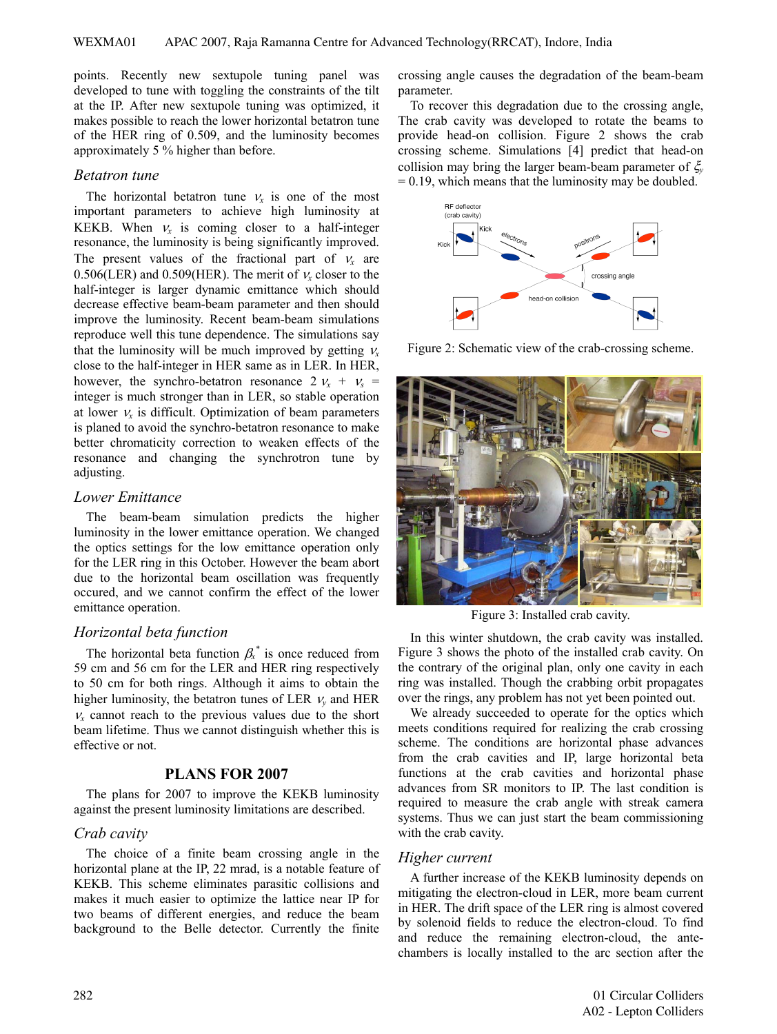points. Recently new sextupole tuning panel was developed to tune with toggling the constraints of the tilt at the IP. After new sextupole tuning was optimized, it makes possible to reach the lower horizontal betatron tune of the HER ring of 0.509, and the luminosity becomes approximately 5 % higher than before.

#### *Betatron tune*

The horizontal betatron tune  $v_r$  is one of the most important parameters to achieve high luminosity at KEKB. When  $v_x$  is coming closer to a half-integer resonance, the luminosity is being significantly improved. The present values of the fractional part of  $v_x$  are 0.506(LER) and 0.509(HER). The merit of  $v_x$  closer to the half-integer is larger dynamic emittance which should decrease effective beam-beam parameter and then should improve the luminosity. Recent beam-beam simulations reproduce well this tune dependence. The simulations say that the luminosity will be much improved by getting  $v_x$ close to the half-integer in HER same as in LER. In HER, however, the synchro-betatron resonance  $2v_r + v_s =$ integer is much stronger than in LER, so stable operation at lower  $v<sub>x</sub>$  is difficult. Optimization of beam parameters is planed to avoid the synchro-betatron resonance to make better chromaticity correction to weaken effects of the resonance and changing the synchrotron tune by adjusting.

### *Lower Emittance*

The beam-beam simulation predicts the higher luminosity in the lower emittance operation. We changed the optics settings for the low emittance operation only for the LER ring in this October. However the beam abort due to the horizontal beam oscillation was frequently occured, and we cannot confirm the effect of the lower emittance operation.

# *Horizontal beta function*

The horizontal beta function  $\beta_x^*$  is once reduced from 59 cm and 56 cm for the LER and HER ring respectively to 50 cm for both rings. Although it aims to obtain the higher luminosity, the betatron tunes of LER  $v<sub>v</sub>$  and HER  $v_x$  cannot reach to the previous values due to the short beam lifetime. Thus we cannot distinguish whether this is effective or not.

### **PLANS FOR 2007**

The plans for 2007 to improve the KEKB luminosity against the present luminosity limitations are described.

### *Crab cavity*

The choice of a finite beam crossing angle in the horizontal plane at the IP, 22 mrad, is a notable feature of KEKB. This scheme eliminates parasitic collisions and makes it much easier to optimize the lattice near IP for two beams of different energies, and reduce the beam background to the Belle detector. Currently the finite crossing angle causes the degradation of the beam-beam parameter.

To recover this degradation due to the crossing angle, The crab cavity was developed to rotate the beams to provide head-on collision. Figure 2 shows the crab crossing scheme. Simulations [4] predict that head-on collision may bring the larger beam-beam parameter of ξ*<sup>y</sup>*  $= 0.19$ , which means that the luminosity may be doubled.



Figure 2: Schematic view of the crab-crossing scheme.



Figure 3: Installed crab cavity.

In this winter shutdown, the crab cavity was installed. Figure 3 shows the photo of the installed crab cavity. On the contrary of the original plan, only one cavity in each ring was installed. Though the crabbing orbit propagates over the rings, any problem has not yet been pointed out.

We already succeeded to operate for the optics which meets conditions required for realizing the crab crossing scheme. The conditions are horizontal phase advances from the crab cavities and IP, large horizontal beta functions at the crab cavities and horizontal phase advances from SR monitors to IP. The last condition is required to measure the crab angle with streak camera systems. Thus we can just start the beam commissioning with the crab cavity.

# *Higher current*

A further increase of the KEKB luminosity depends on mitigating the electron-cloud in LER, more beam current in HER. The drift space of the LER ring is almost covered by solenoid fields to reduce the electron-cloud. To find and reduce the remaining electron-cloud, the antechambers is locally installed to the arc section after the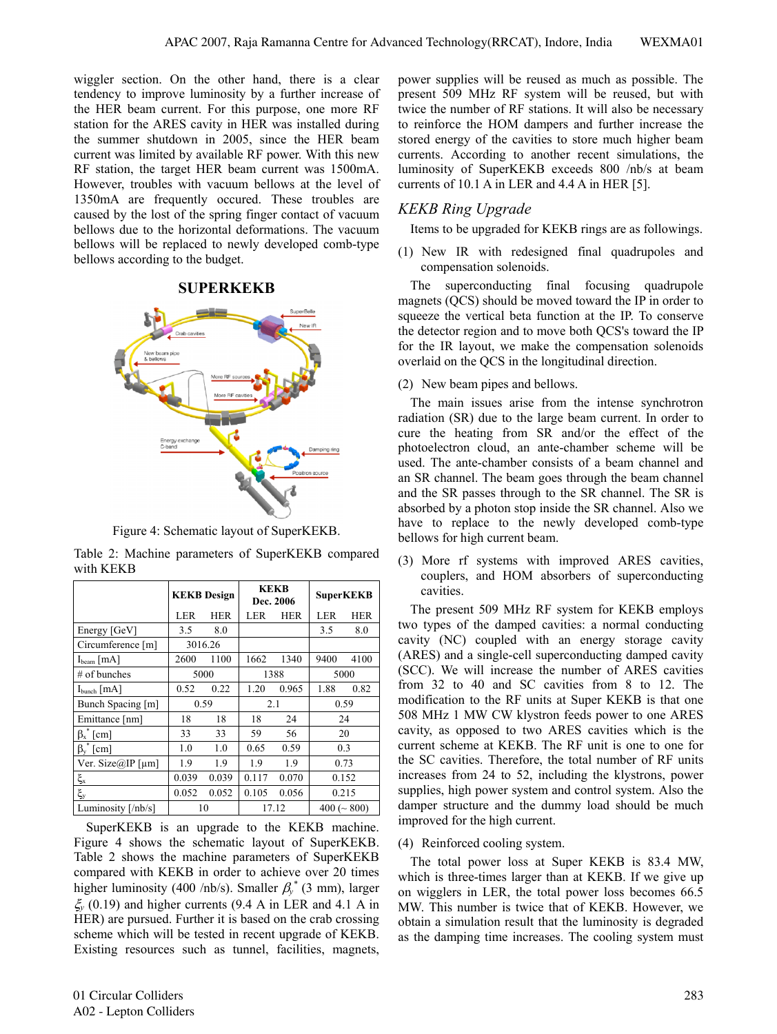wiggler section. On the other hand, there is a clear tendency to improve luminosity by a further increase of the HER beam current. For this purpose, one more RF station for the ARES cavity in HER was installed during the summer shutdown in 2005, since the HER beam current was limited by available RF power. With this new RF station, the target HER beam current was 1500mA. However, troubles with vacuum bellows at the level of 1350mA are frequently occured. These troubles are caused by the lost of the spring finger contact of vacuum bellows due to the horizontal deformations. The vacuum bellows will be replaced to newly developed comb-type bellows according to the budget.

## **SUPERKEKB**



Figure 4: Schematic layout of SuperKEKB.

|           |  | Table 2: Machine parameters of SuperKEKB compared |  |
|-----------|--|---------------------------------------------------|--|
| with KEKB |  |                                                   |  |

|                         | <b>KEKB</b> Design |            |       | <b>KEKB</b><br>Dec. 2006 | <b>SuperKEKB</b>     |      |  |
|-------------------------|--------------------|------------|-------|--------------------------|----------------------|------|--|
|                         | LER                | <b>HER</b> | LER   | <b>HER</b>               | LER                  | HER  |  |
| Energy [GeV]            | 3.5                | 8.0        |       |                          | 3.5                  | 8.0  |  |
| Circumference [m]       | 3016.26            |            |       |                          |                      |      |  |
| $I_{\text{beam}}$ [mA]  | 2600               | 1100       | 1662  | 1340                     | 9400                 | 4100 |  |
| $#$ of bunches          | 5000               |            | 1388  |                          | 5000                 |      |  |
| $I_{bunch}$ [mA]        | 0.52               | 0.22       | 1.20  | 0.965                    | 1.88                 | 0.82 |  |
| Bunch Spacing [m]       | 0.59               |            | 2.1   |                          | 0.59                 |      |  |
| Emittance [nm]          | 18                 | 18         | 18    | 24                       | 24                   |      |  |
| $\beta_x$ [cm]          | 33                 | 33         | 59    | 56                       | 20                   |      |  |
| $\beta_{v}$ [cm]        | 1.0                | 1.0        | 0.65  | 0.59                     | 0.3                  |      |  |
| Ver. Size@IP [ $\mu$ m] | 1.9                | 1.9        | 1.9   | 1.9                      | 0.73                 |      |  |
| $\xi_{\rm x}$           | 0.039              | 0.039      | 0.117 | 0.070                    | 0.152                |      |  |
| $\xi_{\rm y}$           | 0.052              | 0.052      | 0.105 | 0.056                    | 0.215                |      |  |
| Luminosity [/nb/s]      |                    | 10         | 17.12 |                          | $400 \, ( \sim 800)$ |      |  |

SuperKEKB is an upgrade to the KEKB machine. Figure 4 shows the schematic layout of SuperKEKB. Table 2 shows the machine parameters of SuperKEKB compared with KEKB in order to achieve over 20 times higher luminosity (400 /nb/s). Smaller  $\beta_{y}^{*}$  (3 mm), larger ξ*y* (0.19) and higher currents (9.4 A in LER and 4.1 A in HER) are pursued. Further it is based on the crab crossing scheme which will be tested in recent upgrade of KEKB. Existing resources such as tunnel, facilities, magnets,

power supplies will be reused as much as possible. The present 509 MHz RF system will be reused, but with twice the number of RF stations. It will also be necessary to reinforce the HOM dampers and further increase the stored energy of the cavities to store much higher beam currents. According to another recent simulations, the luminosity of SuperKEKB exceeds 800 /nb/s at beam currents of 10.1 A in LER and 4.4 A in HER [5].

# *KEKB Ring Upgrade*

Items to be upgraded for KEKB rings are as followings.

(1) New IR with redesigned final quadrupoles and compensation solenoids.

The superconducting final focusing quadrupole magnets (QCS) should be moved toward the IP in order to squeeze the vertical beta function at the IP. To conserve the detector region and to move both QCS's toward the IP for the IR layout, we make the compensation solenoids overlaid on the QCS in the longitudinal direction.

(2) New beam pipes and bellows.

The main issues arise from the intense synchrotron radiation (SR) due to the large beam current. In order to cure the heating from SR and/or the effect of the photoelectron cloud, an ante-chamber scheme will be used. The ante-chamber consists of a beam channel and an SR channel. The beam goes through the beam channel and the SR passes through to the SR channel. The SR is absorbed by a photon stop inside the SR channel. Also we have to replace to the newly developed comb-type bellows for high current beam.

(3) More rf systems with improved ARES cavities, couplers, and HOM absorbers of superconducting cavities.

The present 509 MHz RF system for KEKB employs two types of the damped cavities: a normal conducting cavity (NC) coupled with an energy storage cavity (ARES) and a single-cell superconducting damped cavity (SCC). We will increase the number of ARES cavities from 32 to 40 and SC cavities from 8 to 12. The modification to the RF units at Super KEKB is that one 508 MHz 1 MW CW klystron feeds power to one ARES cavity, as opposed to two ARES cavities which is the current scheme at KEKB. The RF unit is one to one for the SC cavities. Therefore, the total number of RF units increases from 24 to 52, including the klystrons, power supplies, high power system and control system. Also the damper structure and the dummy load should be much improved for the high current.

### (4) Reinforced cooling system.

The total power loss at Super KEKB is 83.4 MW, which is three-times larger than at KEKB. If we give up on wigglers in LER, the total power loss becomes 66.5 MW. This number is twice that of KEKB. However, we obtain a simulation result that the luminosity is degraded as the damping time increases. The cooling system must